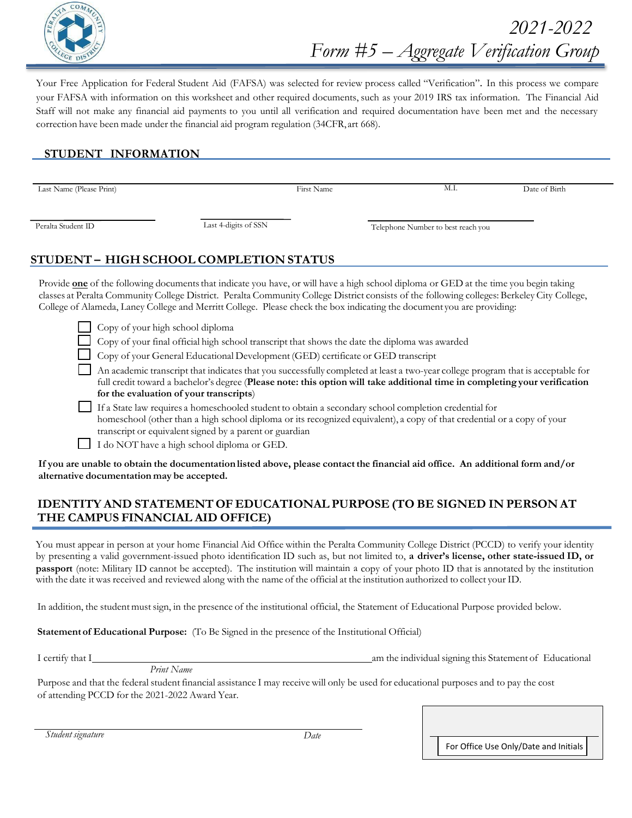

Your Free Application for Federal Student Aid (FAFSA) was selected for review process called "Verification". In this process we compare your FAFSA with information on this worksheet and other required documents, such as your 2019 IRS tax information. The Financial Aid Staff will not make any financial aid payments to you until all verification and required documentation have been met and the necessary correction have been made under the financial aid program regulation (34CFR, art 668).

## **STUDENT INFORMATION**

Last Name (Please Print) First Name M.I. Date of Birth

Peralta Student ID Last 4-digits of SSN Telephone Number to best reach you

# **STUDENT – HIGH SCHOOL COMPLETION STATUS**

Provide **one** of the following documents that indicate you have, or will have a high school diploma or GED at the time you begin taking classes at Peralta Community College District. Peralta Community College District consists of the following colleges: Berkeley City College, College of Alameda, Laney College and Merritt College. Please check the box indicating the document you are providing:

Copy of your high school diploma

Copy of your final official high school transcript that shows the date the diploma was awarded

Copy of your General Educational Development (GED) certificate or GED transcript

 An academic transcript that indicatesthat you successfully completed at least a two-year college program that is acceptable for full credit toward a bachelor's degree (**Please note: this option will take additional time in completing your verification for the evaluation of your transcripts**)

 If a State law requires a homeschooled student to obtain a secondary school completion credential for homeschool (other than a high school diploma or its recognized equivalent), a copy of that credential or a copy of your transcript or equivalent signed by a parent or guardian

I do NOT have a high school diploma or GED.

**If you are unable to obtain the documentation listed above, please contact the financial aid office. An additional form and/or alternative documentation may be accepted.**

### **IDENTITY AND STATEMENT OF EDUCATIONAL PURPOSE (TO BE SIGNED IN PERSON AT THE CAMPUS FINANCIAL AID OFFICE)**

You must appear in person at your home Financial Aid Office within the Peralta Community College District (PCCD) to verify your identity by presenting a valid government-issued photo identification ID such as, but not limited to, **a driver's license, other state-issued ID, or passport** (note: Military ID cannot be accepted). The institution will maintain a copy of your photo ID that is annotated by the institution with the date it was received and reviewed along with the name of the official at the institution authorized to collect your ID.

In addition, the student mustsign, in the presence of the institutional official, the Statement of Educational Purpose provided below.

**Statement of Educational Purpose:** (To Be Signed in the presence of the Institutional Official)

I certify that I am the individual signing this Statement of Educational

*Print Name*

Purpose and that the federal student financial assistance I may receive will only be used for educational purposes and to pay the cost of attending PCCD for the 2021-2022 Award Year.

*Student signature Date*

For Office Use Only/Date and Initials